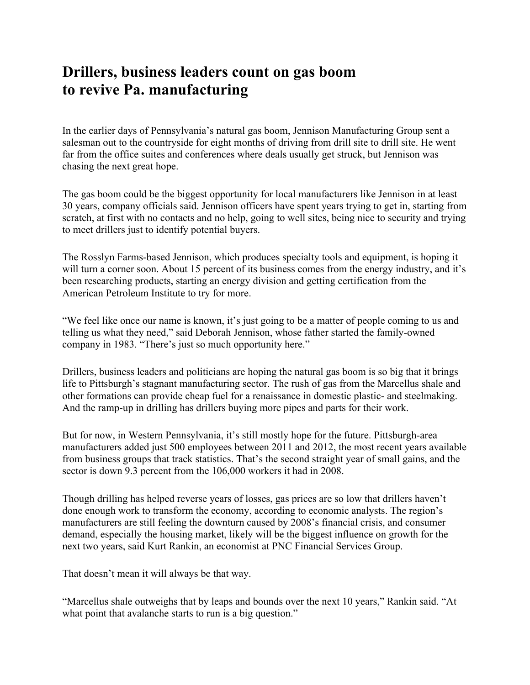## **Drillers, business leaders count on gas boom to revive Pa. manufacturing**

In the earlier days of Pennsylvania's natural gas boom, Jennison Manufacturing Group sent a salesman out to the countryside for eight months of driving from drill site to drill site. He went far from the office suites and conferences where deals usually get struck, but Jennison was chasing the next great hope.

The gas boom could be the biggest opportunity for local manufacturers like Jennison in at least 30 years, company officials said. Jennison officers have spent years trying to get in, starting from scratch, at first with no contacts and no help, going to well sites, being nice to security and trying to meet drillers just to identify potential buyers.

The Rosslyn Farms-based Jennison, which produces specialty tools and equipment, is hoping it will turn a corner soon. About 15 percent of its business comes from the energy industry, and it's been researching products, starting an energy division and getting certification from the American Petroleum Institute to try for more.

"We feel like once our name is known, it's just going to be a matter of people coming to us and telling us what they need," said Deborah Jennison, whose father started the family-owned company in 1983. "There's just so much opportunity here."

Drillers, business leaders and politicians are hoping the natural gas boom is so big that it brings life to Pittsburgh's stagnant manufacturing sector. The rush of gas from the Marcellus shale and other formations can provide cheap fuel for a renaissance in domestic plastic- and steelmaking. And the ramp-up in drilling has drillers buying more pipes and parts for their work.

But for now, in Western Pennsylvania, it's still mostly hope for the future. Pittsburgh-area manufacturers added just 500 employees between 2011 and 2012, the most recent years available from business groups that track statistics. That's the second straight year of small gains, and the sector is down 9.3 percent from the 106,000 workers it had in 2008.

Though drilling has helped reverse years of losses, gas prices are so low that drillers haven't done enough work to transform the economy, according to economic analysts. The region's manufacturers are still feeling the downturn caused by 2008's financial crisis, and consumer demand, especially the housing market, likely will be the biggest influence on growth for the next two years, said Kurt Rankin, an economist at PNC Financial Services Group.

That doesn't mean it will always be that way.

"Marcellus shale outweighs that by leaps and bounds over the next 10 years," Rankin said. "At what point that avalanche starts to run is a big question."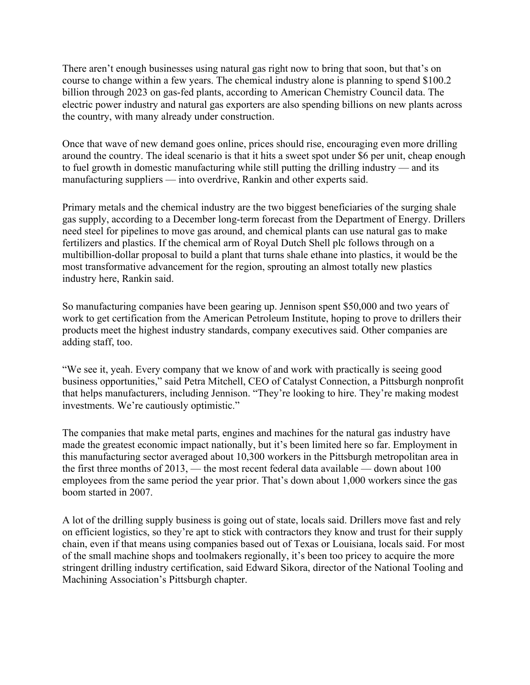There aren't enough businesses using natural gas right now to bring that soon, but that's on course to change within a few years. The chemical industry alone is planning to spend \$100.2 billion through 2023 on gas-fed plants, according to American Chemistry Council data. The electric power industry and natural gas exporters are also spending billions on new plants across the country, with many already under construction.

Once that wave of new demand goes online, prices should rise, encouraging even more drilling around the country. The ideal scenario is that it hits a sweet spot under \$6 per unit, cheap enough to fuel growth in domestic manufacturing while still putting the drilling industry — and its manufacturing suppliers — into overdrive, Rankin and other experts said.

Primary metals and the chemical industry are the two biggest beneficiaries of the surging shale gas supply, according to a December long-term forecast from the Department of Energy. Drillers need steel for pipelines to move gas around, and chemical plants can use natural gas to make fertilizers and plastics. If the chemical arm of Royal Dutch Shell plc follows through on a multibillion-dollar proposal to build a plant that turns shale ethane into plastics, it would be the most transformative advancement for the region, sprouting an almost totally new plastics industry here, Rankin said.

So manufacturing companies have been gearing up. Jennison spent \$50,000 and two years of work to get certification from the American Petroleum Institute, hoping to prove to drillers their products meet the highest industry standards, company executives said. Other companies are adding staff, too.

"We see it, yeah. Every company that we know of and work with practically is seeing good business opportunities," said Petra Mitchell, CEO of Catalyst Connection, a Pittsburgh nonprofit that helps manufacturers, including Jennison. "They're looking to hire. They're making modest investments. We're cautiously optimistic."

The companies that make metal parts, engines and machines for the natural gas industry have made the greatest economic impact nationally, but it's been limited here so far. Employment in this manufacturing sector averaged about 10,300 workers in the Pittsburgh metropolitan area in the first three months of 2013, — the most recent federal data available — down about 100 employees from the same period the year prior. That's down about 1,000 workers since the gas boom started in 2007.

A lot of the drilling supply business is going out of state, locals said. Drillers move fast and rely on efficient logistics, so they're apt to stick with contractors they know and trust for their supply chain, even if that means using companies based out of Texas or Louisiana, locals said. For most of the small machine shops and toolmakers regionally, it's been too pricey to acquire the more stringent drilling industry certification, said Edward Sikora, director of the National Tooling and Machining Association's Pittsburgh chapter.